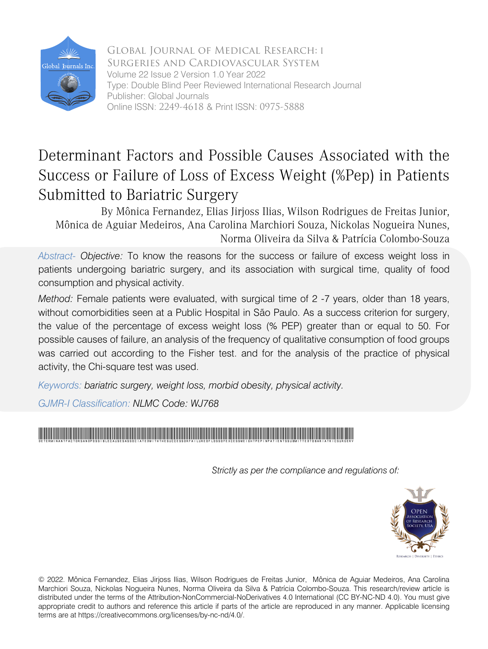

Global Journal of Medical Research: I Surgeries and Cardiovascular System Volume 22 Issue 2 Version 1.0 Year 2022 Type: Double Blind Peer Reviewed International Research Journal Publisher: Global Journals Online ISSN: 2249-4618 & Print ISSN: 0975-5888

# Determinant Factors and Possible Causes Associated with the Success or Failure of Loss of Excess Weight (%Pep) in Patients Submitted to Bariatric Surgery

By Mônica Fernandez, Elias Jirjoss Ilias, Wilson Rodrigues de Freitas Junior, Mônica de Aguiar Medeiros, Ana Carolina Marchiori Souza, Nickolas Nogueira Nunes, Norma Oliveira da Silva & Patrícia Colombo-Souza

 *Abstract- Objective:* To know the reasons for the success or failure of excess weight loss in patients undergoing bariatric surgery, and its association with surgical time, quality of food consumption and physical activity.

*Method:* Female patients were evaluated, with surgical time of 2 -7 years, older than 18 years, without comorbidities seen at a Public Hospital in São Paulo. As a success criterion for surgery, the value of the percentage of excess weight loss (% PEP) greater than or equal to 50. For possible causes of failure, an analysis of the frequency of qualitative consumption of food groups was carried out according to the Fisher test. and for the analysis of the practice of physical activity, the Chi-square test was used.

*Keywords: bariatric surgery, weight loss, morbid obesity, physical activity.* 

*GJMR-I Classification: NLMC Code: WJ768*

# DeterminantFactorsandPossibleCausesAssociatedwiththeSuccessorFailureofLossofExcessWeightPepinPatientsSubmittedtoBariatricSurgery

*Strictly as per the compliance and regulations of:*



© 2022. Mônica Fernandez, Elias Jirjoss Ilias, Wilson Rodrigues de Freitas Junior, Mônica de Aguiar Medeiros, Ana Carolina Marchiori Souza, Nickolas Nogueira Nunes, Norma Oliveira da Silva & Patrícia Colombo-Souza. This research/review article is distributed under the terms of the Attribution-NonCommercial-NoDerivatives 4.0 International (CC BY-NC-ND 4.0). You must give appropriate credit to authors and reference this article if parts of the article are reproduced in any manner. Applicable licensing terms are at https://creativecommons.org/licenses/by-nc-nd/4.0/.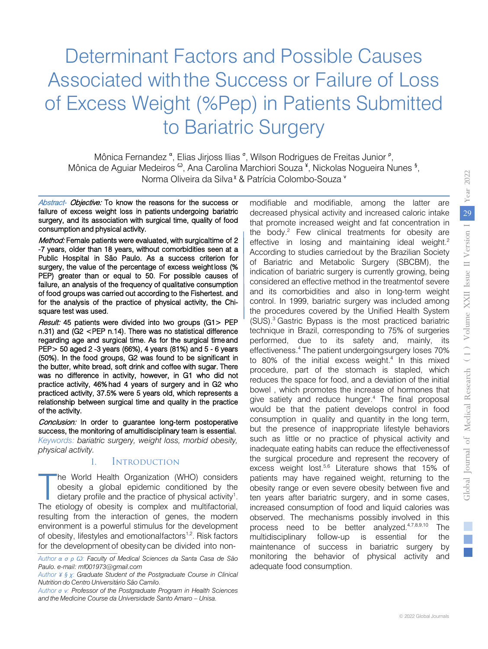# Determinant Factors and Possible Causes Associated with the Success or Failure of Loss of Excess Weight (%Pep) in Patients Submitted to Bariatric Surgery

Mônica Fernandez<sup>a</sup>, Elias Jirjoss Ilias<sup>6</sup>, Wilson Rodrigues de Freitas Junior<sup>p</sup>, Mônica de Aguiar Medeiros <sup>ω</sup>, Ana Carolina Marchiori Souza <sup>¥</sup>, Nickolas Nogueira Nunes <sup>§</sup>, Norma Oliveira da Silva<sup>γ</sup> & Patrícia Colombo-Souza ν

Abstract- Objective: To know the reasons for the success or failure of excess weight loss in patients undergoing bariatric surgery, and its association with surgical time, quality of food consumption and physical activity.

Method: Female patients were evaluated, with surgical time of 2 -7 years, older than 18 years, without comorbidities seen at a Public Hospital in São Paulo. As a success criterion for surgery, the value of the percentage of excess weight loss (% PEP) greater than or equal to 50. For possible causes of failure, an analysis of the frequency of qualitative consumption of food groups was carried out according to the Fishertest. and for the analysis of the practice of physical activity, the Chisquare test was used.

Result: 45 patients were divided into two groups (G1> PEP n.31) and (G2 <PEP n.14). There was no statistical difference regarding age and surgical time. As for the surgical time and PEP> 50 aged 2 -3 years (66%), 4 years (81%) and 5 - 6 years (50%). In the food groups, G2 was found to be significant in the butter, white bread, soft drink and coffee with sugar. There was no difference in activity, however, in G1 who did not practice activity, 46% had 4 years of surgery and in G2 who practiced activity, 37.5% were 5 years old, which represents a relationship between surgical time and quality in the practice of the activity.

Conclusion: In order to guarantee long-term postoperative success, the monitoring of amultidisciplinary team is essential. *Keywords: bariatric surgery, weight loss, morbid obesity, physical activity.* 

#### I. Introduction

he World Health Organization (WHO) considers obesity a global epidemic conditioned by the dietary profile and the practice of physical activity<sup>1</sup>. The World Health Organization (WHO) considers<br>obesity a global epidemic conditioned by the<br>dietary profile and the practice of physical activity<sup>1</sup>.<br>The etiology of obesity is complex and multifactorial, resulting from the interaction of genes, the modern environment is a powerful stimulus for the development of obesity, lifestyles and emotionalfactors<sup>1,2</sup>. Risk factors for the development of obesitycan be divided into nonmodifiable and modifiable, among the latter are decreased physical activity and increased caloric intake that promote increased weight and fat concentration in the body. $2$  Few clinical treatments for obesity are effective in losing and maintaining ideal weight.<sup>2</sup> According to studies carriedout by the Brazilian Society of Bariatric and Metabolic Surgery (SBCBM), the indication of bariatric surgery is currently growing, being considered an effective method in the treatmentof severe and its comorbidities and also in long-term weight control. In 1999, bariatric surgery was included among the procedures covered by the Unified Health System (SUS).3 Gastric Bypass is the most practiced bariatric technique in Brazil, corresponding to 75% of surgeries performed, due to its safety and, mainly, its effectiveness.4 The patient undergoingsurgery loses 70% to 80% of the initial excess weight.<sup>4</sup> In this mixed procedure, part of the stomach is stapled, which reduces the space for food, and a deviation of the initial bowel , which promotes the increase of hormones that give satiety and reduce hunger.4 The final proposal would be that the patient develops control in food consumption in quality and quantity in the long term, but the presence of inappropriate lifestyle behaviors such as little or no practice of physical activity and inadequate eating habits can reduce the effectiveness of the surgical procedure and represent the recovery of excess weight lost.<sup>5,6</sup> Literature shows that 15% of patients may have regained weight, returning to the obesity range or even severe obesity between five and ten years after bariatric surgery, and in some cases, increased consumption of food and liquid calories was observed. The mechanisms possibly involved in this process need to be better analyzed.4,7,8,9,10 The multidisciplinary follow-up is essential for the maintenance of success in bariatric surgery by monitoring the behavior of physical activity and adequate food consumption.

*Author α σ ρ Ѡ: Faculty of Medical Sciences da Santa Casa de São Paulo. e-mail: mf001973@gmail.com*

*Author ¥ § χ: Graduate Student of the Postgraduate Course in Clinical Nutrition do Centro Universitário São Camilo.*

*Author σ ν: Professor of the Postgraduate Program in Health Sciences and the Medicine Course da Universidade Santo Amaro – Unisa.*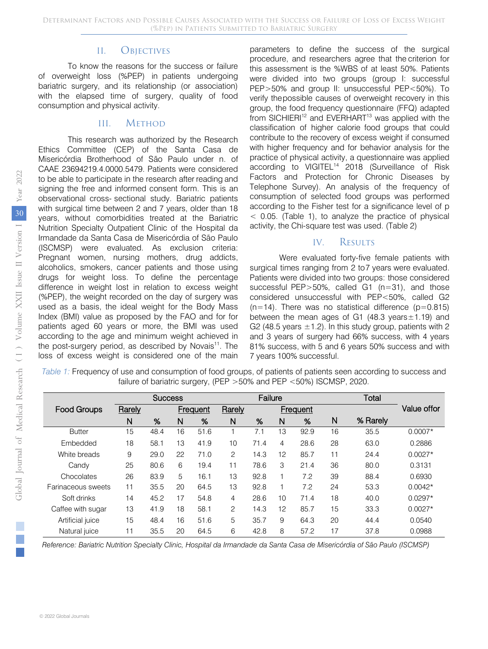#### II. Objectives

To know the reasons for the success or failure of overweight loss (%PEP) in patients undergoing bariatric surgery, and its relationship (or association) with the elapsed time of surgery, quality of food consumption and physical activity.

#### III. Method

This research was authorized by the Research Ethics Committee (CEP) of the Santa Casa de Misericórdia Brotherhood of São Paulo under n. of CAAE 23694219.4.0000.5479. Patients were considered to be able to participate in the research after reading and signing the free and informed consent form. This is an observational cross- sectional study. Bariatric patients with surgical time between 2 and 7 years, older than 18 years, without comorbidities treated at the Bariatric Nutrition Specialty Outpatient Clinic of the Hospital da Irmandade da Santa Casa de Misericórdia of São Paulo (ISCMSP) were evaluated. As exclusion criteria: Pregnant women, nursing mothers, drug addicts, alcoholics, smokers, cancer patients and those using drugs for weight loss. To define the percentage difference in weight lost in relation to excess weight (%PEP), the weight recorded on the day of surgery was used as a basis, the ideal weight for the Body Mass Index (BMI) value as proposed by the FAO and for for patients aged 60 years or more, the BMI was used according to the age and minimum weight achieved in the post-surgery period, as described by Novais $11$ . The loss of excess weight is considered one of the main

parameters to define the success of the surgical procedure, and researchers agree that the criterion for this assessment is the %WBS of at least 50%. Patients were divided into two groups (group I: successful PEP>50% and group II: unsuccessful PEP<50%). To verify thepossible causes of overweight recovery in this group, the food frequency questionnaire (FFQ) adapted from SICHIERI<sup>12</sup> and EVERHART<sup>13</sup> was applied with the classification of higher calorie food groups that could contribute to the recovery of excess weight if consumed with higher frequency and for behavior analysis for the practice of physical activity, a questionnaire was applied according to VIGITEL<sup>14</sup> 2018 (Surveillance of Risk Factors and Protection for Chronic Diseases by Telephone Survey). An analysis of the frequency of consumption of selected food groups was performed according to the Fisher test for a significance level of p  $<$  0.05. (Table 1), to analyze the practice of physical activity, the Chi-square test was used. (Table 2)

## IV. RESULTS

Were evaluated forty-five female patients with surgical times ranging from 2 to 7 years were evaluated. Patients were divided into two groups: those considered successful PEP>50%, called G1 (n=31), and those considered unsuccessful with PEP<50%, called G2  $(n=14)$ . There was no statistical difference ( $p=0.815$ ) between the mean ages of G1 (48.3 years $\pm$ 1.19) and G2 (48.5 years  $\pm$ 1.2). In this study group, patients with 2 and 3 years of surgery had 66% success, with 4 years 81% success, with 5 and 6 years 50% success and with 7 years 100% successful.

*Table 1:* Frequency of use and consumption of food groups, of patients of patients seen according to success and failure of bariatric surgery, (PEP >50% and PEP <50%) ISCMSP, 2020.

|                    |        | <b>Success</b> |                |                 |                | Failure |    |                 |    | Total    |             |
|--------------------|--------|----------------|----------------|-----------------|----------------|---------|----|-----------------|----|----------|-------------|
| <b>Food Groups</b> | Rarely |                |                | <b>Frequent</b> | Rarely         |         |    | <b>Frequent</b> |    |          | Value offor |
|                    | N      | %              | N              | %               | N              | %       | N  | %               | N  | % Rarely |             |
| <b>Butter</b>      | 15     | 48.4           | 16             | 51.6            |                | 7.1     | 13 | 92.9            | 16 | 35.5     | $0.0007*$   |
| Embedded           | 18     | 58.1           | 13             | 41.9            | 10             | 71.4    | 4  | 28.6            | 28 | 63.0     | 0.2886      |
| White breads       | 9      | 29.0           | 22             | 71.0            | $\mathfrak{p}$ | 14.3    | 12 | 85.7            | 11 | 24.4     | $0.0027*$   |
| Candy              | 25     | 80.6           | 6              | 19.4            | 11             | 78.6    | 3  | 21.4            | 36 | 80.0     | 0.3131      |
| Chocolates         | 26     | 83.9           | $\overline{5}$ | 16.1            | 13             | 92.8    | 1  | 7.2             | 39 | 88.4     | 0.6930      |
| Farinaceous sweets | 11     | 35.5           | 20             | 64.5            | 13             | 92.8    | 1  | 7.2             | 24 | 53.3     | $0.0042*$   |
| Soft drinks        | 14     | 45.2           | 17             | 54.8            | 4              | 28.6    | 10 | 71.4            | 18 | 40.0     | $0.0297*$   |
| Caffee with sugar  | 13     | 41.9           | 18             | 58.1            | $\mathfrak{p}$ | 14.3    | 12 | 85.7            | 15 | 33.3     | $0.0027*$   |
| Artificial juice   | 15     | 48.4           | 16             | 51.6            | 5              | 35.7    | 9  | 64.3            | 20 | 44.4     | 0.0540      |
| Natural juice      | 11     | 35.5           | 20             | 64.5            | 6              | 42.8    | 8  | 57.2            | 17 | 37.8     | 0.0988      |

*Reference: Bariatric Nutrition Specialty Clinic, Hospital da Irmandade da Santa Casa de Misericórdia of São Paulo (ISCMSP)*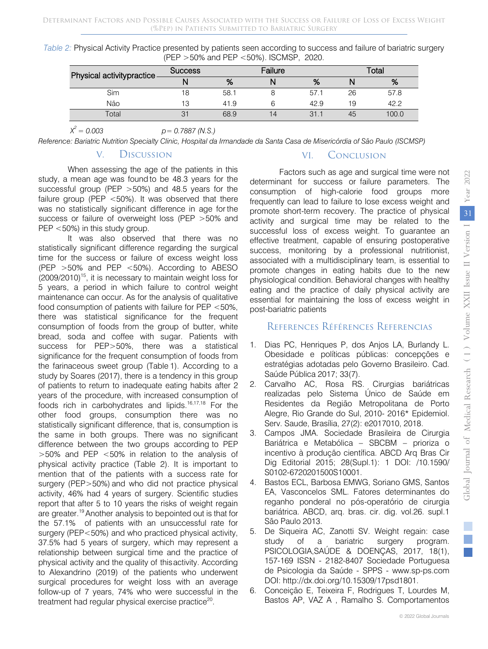| Table 2: Physical Activity Practice presented by patients seen according to success and failure of bariatric surgery |                                               |  |  |
|----------------------------------------------------------------------------------------------------------------------|-----------------------------------------------|--|--|
|                                                                                                                      | (PEP $>50\%$ and PEP $<50\%$ ). ISCMSP, 2020. |  |  |

| Physical activitypractice- | <b>Success</b> |      | Failure | ⊺otai |    |       |
|----------------------------|----------------|------|---------|-------|----|-------|
|                            |                | %    |         | %     |    | %     |
| Sim                        | 18             | 58.1 |         | 57.   | 26 | 57.8  |
| Não                        | 13             | 41.9 |         | 42.9  | 19 | 42.2  |
| <b>Total</b>               |                | 68.9 | l 4     | 31    | 45 | 100.0 |

*X 2 = 0.003 p= 0.7887 (N.S.)*

*Reference: Bariatric Nutrition Specialty Clinic, Hospital da Irmandade da Santa Casa de Misericórdia of São Paulo (ISCMSP)*

### V. Discussion

When assessing the age of the patients in this study, a mean age was found to be 48.3 years for the successful group (PEP >50%) and 48.5 years for the failure group (PEP <50%). It was observed that there was no statistically significant difference in age for the success or failure of overweight loss (PEP >50% and PEP <50%) in this study group.

It was also observed that there was no statistically significant difference regarding the surgical time for the success or failure of excess weight loss (PEP  $>50\%$  and PEP  $<50\%$ ). According to ABESO  $(2009/2010)^{15}$ , it is necessary to maintain weight loss for 5 years, a period in which failure to control weight maintenance can occur. As for the analysis of qualitative food consumption of patients with failure for PEP <50%, there was statistical significance for the frequent consumption of foods from the group of butter, white bread, soda and coffee with sugar. Patients with success for PEP>50%, there was a statistical significance for the frequent consumption of foods from the farinaceous sweet group (Table 1). According to a study by Soares (2017), there is a tendency in this group of patients to return to inadequate eating habits after 2 years of the procedure, with increased consumption of foods rich in carbohydrates and lipids.16,17,18 For the other food groups, consumption there was no statistically significant difference, that is, consumption is the same in both groups. There was no significant difference between the two groups according to PEP >50% and PEP <50% in relation to the analysis of physical activity practice (Table 2). It is important to mention that of the patients with a success rate for surgery (PEP>50%) and who did not practice physical activity, 46% had 4 years of surgery. Scientific studies report that after 5 to 10 years the risks of weight regain are greater.<sup>19</sup> Another analysis to bepointed out is that for the 57.1% of patients with an unsuccessful rate for surgery (PEP<50%) and who practiced physical activity, 37.5% had 5 years of surgery, which may represent a relationship between surgical time and the practice of physical activity and the quality of thisactivity. According to Alexandrino (2019) of the patients who underwent surgical procedures for weight loss with an average follow-up of 7 years, 74% who were successful in the treatment had regular physical exercise practice<sup>20</sup>.

## VI. Conclusion

Factors such as age and surgical time were not determinant for success or failure parameters. The consumption of high-calorie food groups more frequently can lead to failure to lose excess weight and promote short-term recovery. The practice of physical activity and surgical time may be related to the successful loss of excess weight. To guarantee an effective treatment, capable of ensuring postoperative success, monitoring by a professional nutritionist, associated with a multidisciplinary team, is essential to promote changes in eating habits due to the new physiological condition. Behavioral changes with healthy eating and the practice of daily physical activity are essential for maintaining the loss of excess weight in post-bariatric patients

# References Références Referencias

- 1. Dias PC, Henriques P, dos Anjos LA, Burlandy L. Obesidade e políticas públicas: concepções e estratégias adotadas pelo Governo Brasileiro. Cad. Saúde Pública 2017; 33(7).
- 2. Carvalho AC, Rosa RS. Cirurgias bariátricas realizadas pelo Sistema Único de Saúde em Residentes da Região Metropolitana de Porto Alegre, Rio Grande do Sul, 2010- 2016\* Epidemiol. Serv. Saude, Brasília, 27(2): e2017010, 2018.
- 3. Campos JMA. Sociedade Brasileira de Cirurgia Bariátrica e Metabólica – SBCBM – prioriza o incentivo à produção científica. ABCD Arq Bras Cir Dig Editorial 2015; 28(Supl.1): 1 DOI: /10.1590/ S0102-6720201500S10001.
- 4. Bastos ECL, Barbosa EMWG, Soriano GMS, Santos EA, Vasconcelos SML. Fatores determinantes do reganho ponderal no pós-operatório de cirurgia bariátrica. ABCD, arq. bras. cir. dig. vol.26. supl.1 São Paulo 2013.
- 5. De Siqueira AC, Zanotti SV. Weight regain: case study of a bariatric surgery program. PSICOLOGIA,SAÚDE & DOENÇAS, 2017, 18(1), 157-169 ISSN - 2182-8407 Sociedade Portuguesa de Psicologia da Saúde - SPPS - www.sp-ps.com DOI: http://dx.doi.org/10.15309/17psd1801.
- 6. Conceição E, Teixeira F, Rodrigues T, Lourdes M, Bastos AP, VAZ A , Ramalho S. Comportamentos